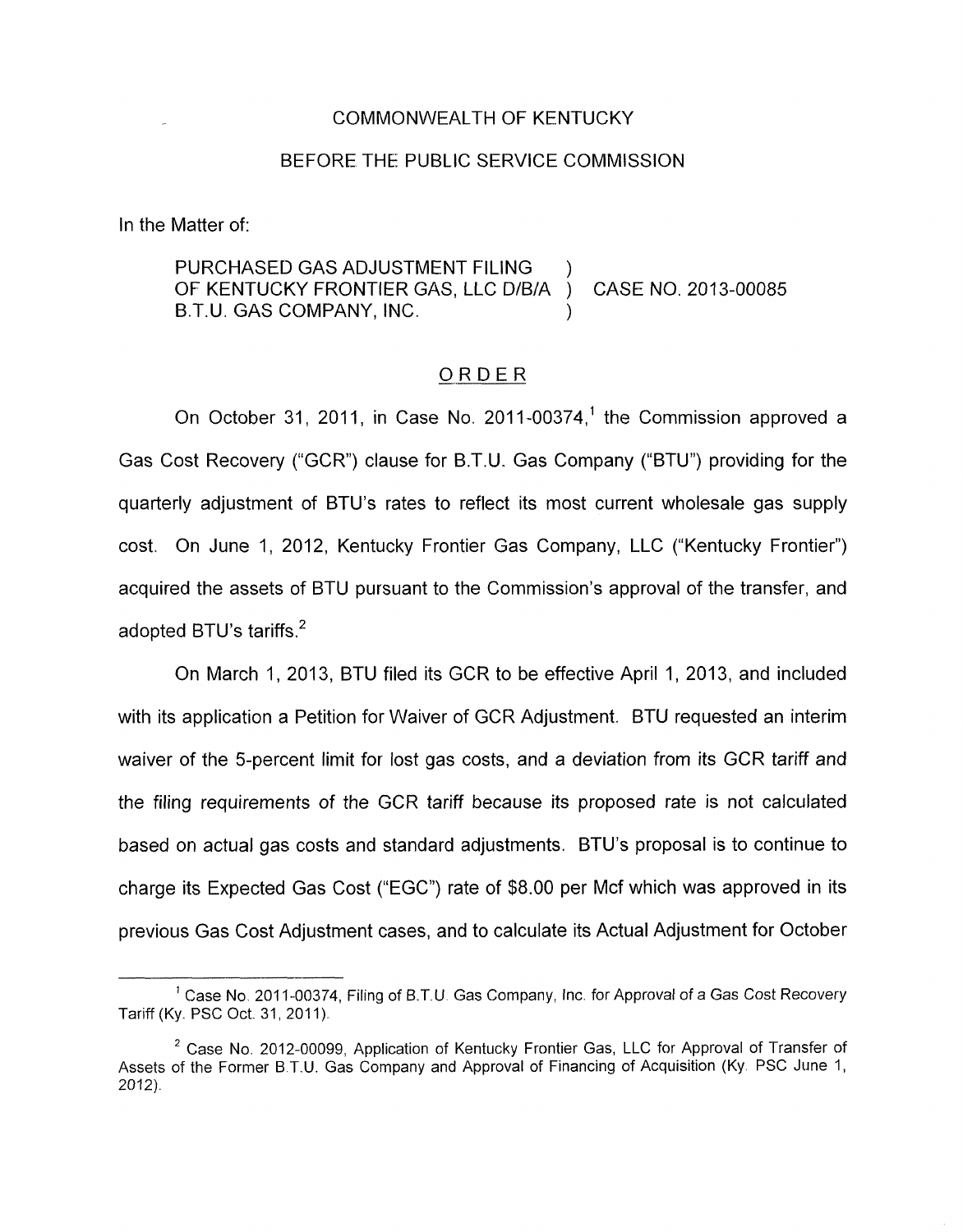#### COMMONWEALTH OF KENTUCKY

#### BEFORE THE PUBLIC SERVICE COMMISSION

In the Matter of:

PURCHASED GAS ADJUSTMENT FILING ) OF KENTUCKY FRONTIER GAS, LLC D/B/A ) CASE NO. 2013-00085 B.T.U. GAS COMPANY, INC. )

### ORDER

On October 31, 2011, in Case No. 2011-00374,' the Commission approved a Gas Cost Recovery ("GCR") clause for B.T.U. Gas Company ("BTU") providing for the quarterly adjustment of BTU's rates to reflect its most current wholesale gas supply cost. On June 1, 2012, Kentucky Frontier Gas Company, LLC ("Kentucky Frontier") acquired the assets of BTU pursuant to the Commission's approval of the transfer, and adopted BTU's tariffs.<sup>2</sup>

On March 1, 2013, BTU filed its GCR to be effective April 1, 2013, and included with its application a Petition for Waiver of GCR Adjustment. BTU requested an interim waiver of the 5-percent limit for lost gas costs, and a deviation from its GCR tariff and the filing requirements of the GCR tariff because its proposed rate is not calculated based on actual gas costs and standard adjustments. BTU's proposal is to continue to charge its Expected Gas Cost ("EGC") rate of \$8.00 per Mcf which was approved in its previous Gas Cost Adjustment cases, and to calculate its Actual Adjustment for October

<sup>&</sup>lt;sup>1</sup> Case No. 2011-00374, Filing of B.T.U. Gas Company, Inc. for Approval of a Gas Cost Recovery Tariff (Ky. PSC Oct. 31, 2011)

 $2$  Case No. 2012-00099, Application of Kentucky Frontier Gas, LLC for Approval of Transfer of Assets of the Former B T.U. Gas Company and Approval of Financing of Acquisition (Ky PSC June 1, 2012).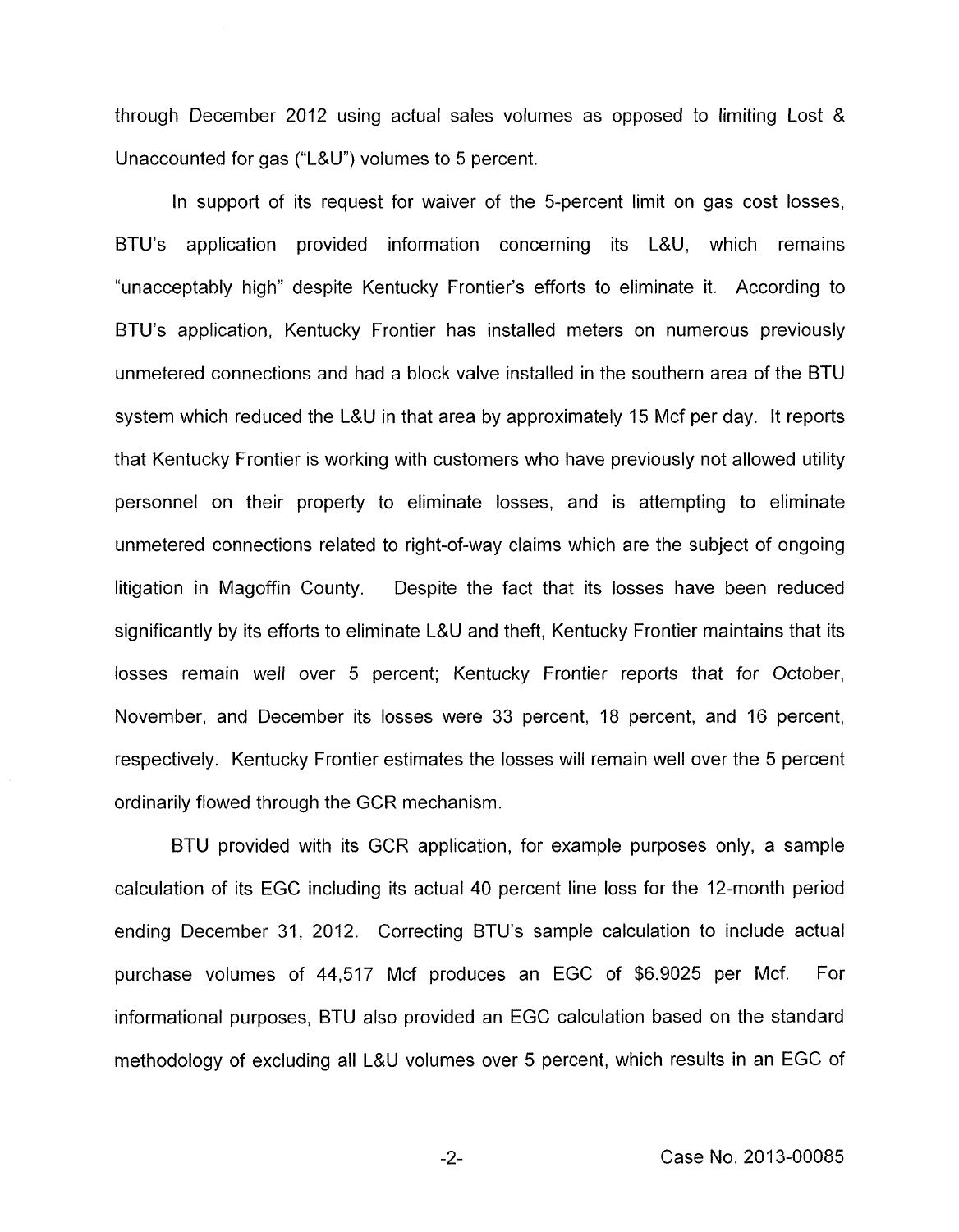through December 2012 using actual sales volumes as opposed to limiting Lost & Unaccounted for gas ("L&U") volumes to 5 percent.

In support of its request for waiver of the 5-percent limit on gas cost losses, BTU's application provided information concerning its L&U, which remains "unacceptably high" despite Kentucky Frontier's efforts to eliminate it. According to BTU's application, Kentucky Frontier has installed meters on numerous previously unmetered connections and had a block valve installed in the southern area of the BTU system which reduced the L&U in that area by approximately 15 Mcf per day. It reports that Kentucky Frontier is working with customers who have previously not allowed utility personnel on their property to eliminate losses, and is attempting to eliminate unmetered connections related to right-of-way claims which are the subject of ongoing litigation in Magoffin County. Despite the fact that its losses have been reduced significantly by its efforts to eliminate L&U and theft, Kentucky Frontier maintains that its losses remain well over 5 percent; Kentucky Frontier reports that for October, November, and December its losses were 33 percent, 18 percent, and 16 percent, respectively. Kentucky Frontier estimates the losses will remain well over the 5 percent ordinarily flowed through the GCR mechanism.

BTU provided with its GCR application, for example purposes only, a sample calculation of its EGC including its actual 40 percent line loss for the 12-month period ending December 31, 2012. Correcting BTU's sample calculation to include actual purchase volumes of 44,517 Mcf produces an EGC of \$6.9025 per Mcf. For informational purposes, BTU also provided an EGC calculation based on the standard methodology of excluding all L&U volumes over 5 percent, which results in an EGC of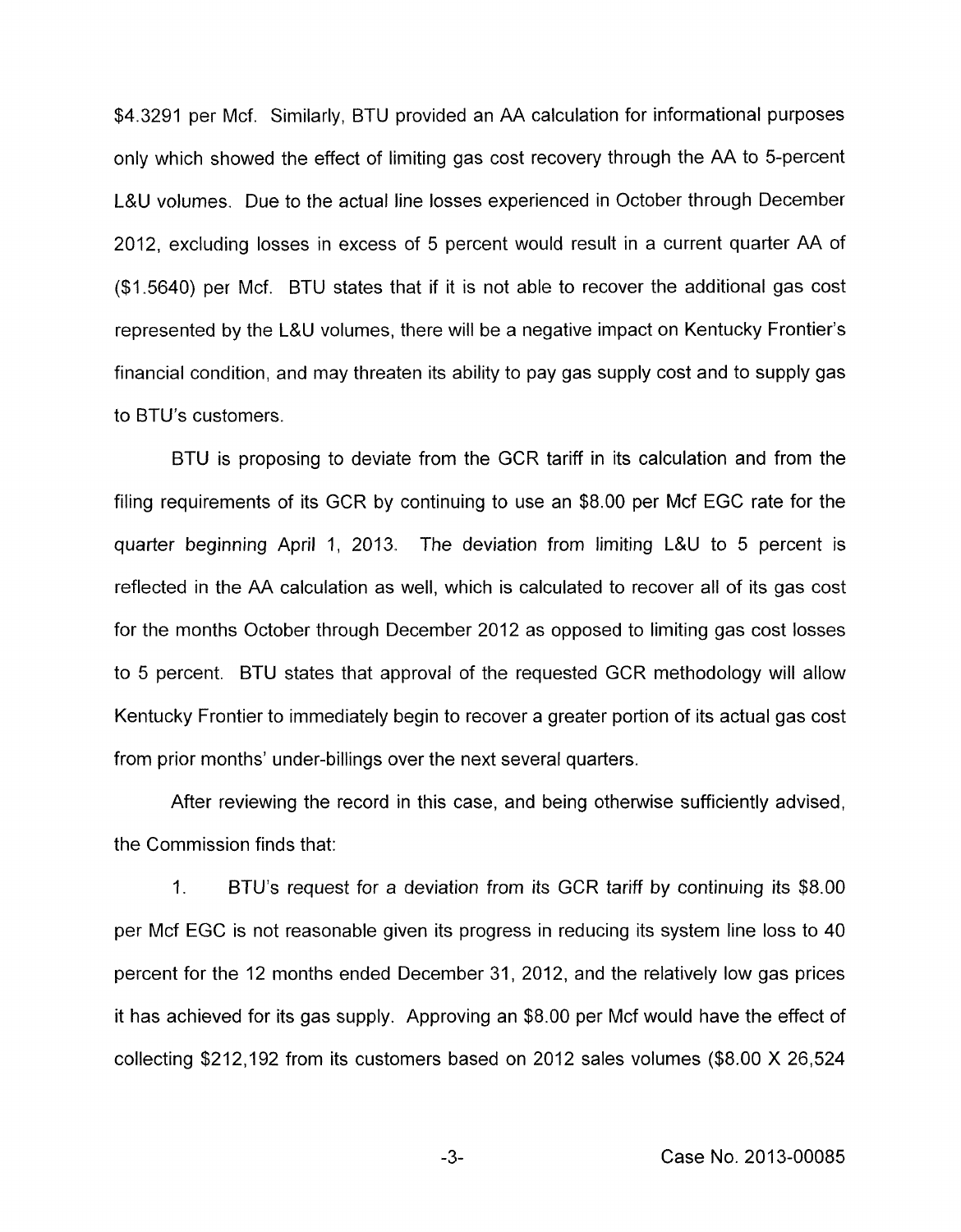\$4.3291 per Mcf. Similarly, BTU provided an AA calculation for informational purposes only which showed the effect of limiting gas cost recovery through the AA to 5-percent L&U volumes. Due to the actual line losses experienced in October through December 2012, excluding losses in excess of 5 percent would result in a current quarter AA of (\$1,5640) per Mcf. BTU states that if it is not able to recover the additional gas cost represented by the L&U volumes, there will be a negative impact on Kentucky Frontier's financial condition, and may threaten its ability to pay gas supply cost and to supply gas to BTU's customers.

BTU is proposing to deviate from the GCR tariff in its calculation and from the filing requirements of its GCR by continuing to use an \$8.00 per Mcf EGC rate for the quarter beginning April 1, 2013. The deviation from limiting L&U to 5 percent is reflected in the AA calculation as well, which is calculated to recover all of its gas cost for the months October through December 2012 as opposed to limiting gas cost losses to 5 percent. BTU states that approval of the requested GCR methodology will allow Kentucky Frontier to immediately begin to recover a greater portion of its actual gas cost from prior months' under-billings over the next several quarters.

After reviewing the record in this case, and being otherwise sufficiently advised, the Commission finds that:

1. BTU's request for a deviation from its GCR tariff by continuing its \$8.00 per Mcf EGC is not reasonable given its progress in reducing its system line loss to 40 percent for the 12 months ended December 31, 2012, and the relatively low gas prices it has achieved for its gas supply. Approving an \$8.00 per Mcf would have the effect of collecting \$212,192 from its customers based on 2012 sales volumes (\$8.00 X 26,524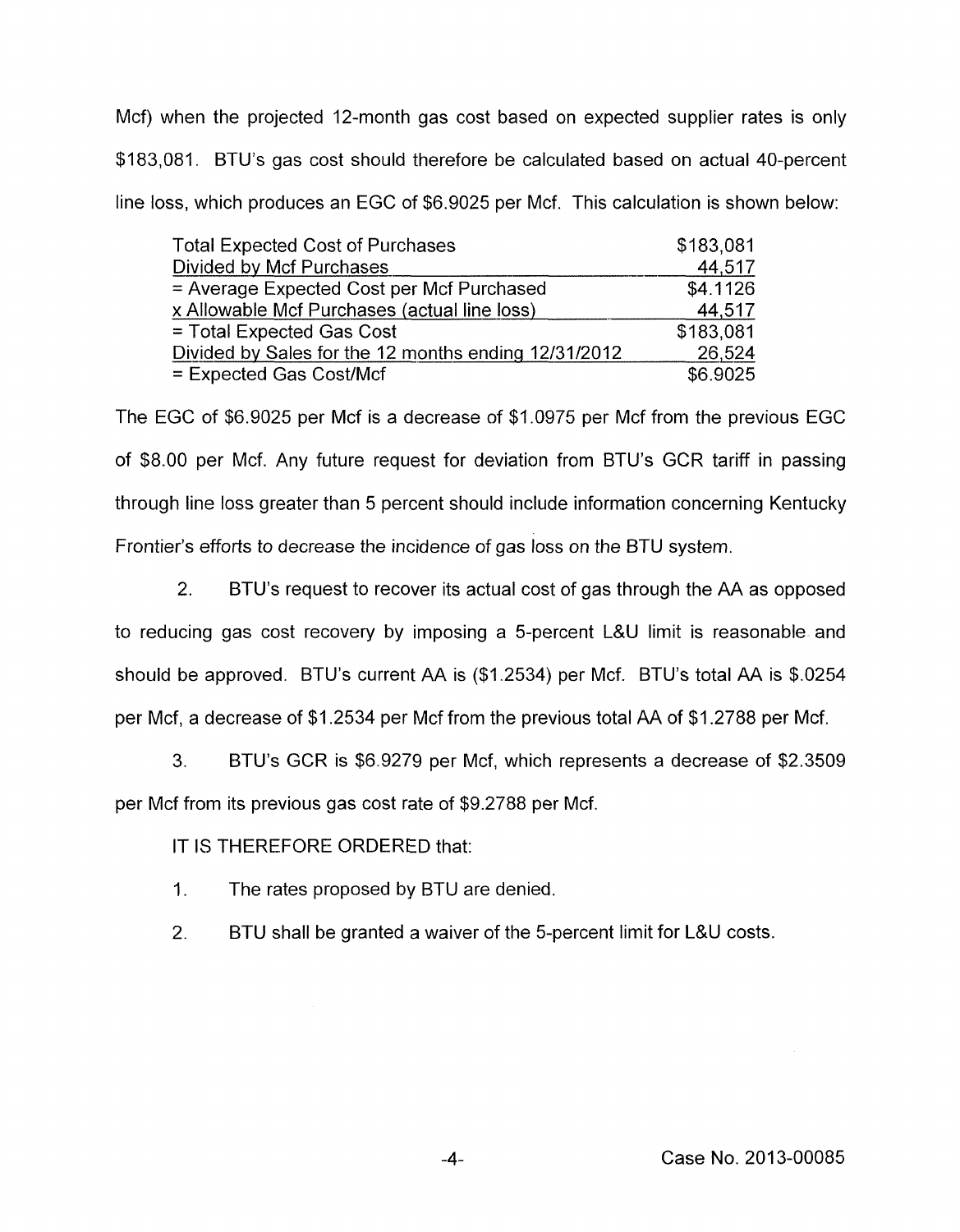Mcf) when the projected 12-month gas cost based on expected supplier rates is only \$183,081. BTU's gas cost should therefore be calculated based on actual 40-percent line loss, which produces an EGC of \$6.9025 per Mcf. This calculation is shown below:

| <b>Total Expected Cost of Purchases</b>              | \$183,081 |
|------------------------------------------------------|-----------|
| Divided by Mcf Purchases                             | 44,517    |
| = Average Expected Cost per Mcf Purchased            | \$4.1126  |
| x Allowable Mcf Purchases (actual line loss)         | 44,517    |
| = Total Expected Gas Cost                            | \$183.081 |
| Divided by Sales for the 12 months ending 12/31/2012 | 26,524    |
| = Expected Gas Cost/Mcf                              | \$6.9025  |

The EGC of \$6.9025 per Mcf is a decrease of \$1.0975 per Mcf from the previous EGC of \$8.00 per Mcf. Any future request for deviation from BTU's GCR tariff in passing through line loss greater than 5 percent should include information concerning Kentucky Frontier's efforts to decrease the incidence of gas loss on the BTU system.

2. BTU's request to recover its actual cost of gas through the AA as opposed to reducing gas cost recovery by imposing a 5-percent L&U limit is reasonable and should be approved. BTU's current AA is (\$1.2534) per Mcf. BTU's total AA is \$.0254 per Mcf, a decrease of \$1.2534 per Mcf from the previous total AA of \$1.2788 per Mcf.

3. BTU's GCR is \$6.9279 per Mcf, which represents a decrease of \$2.3509 per Mcf from its previous gas cost rate of \$9.2788 per Mcf.

# IT IS THEREFORE ORDERED that:

- $1.15$ The rates proposed by BTU are denied.
- 2. BTU shall be granted a waiver of the 5-percent limit for L&U costs.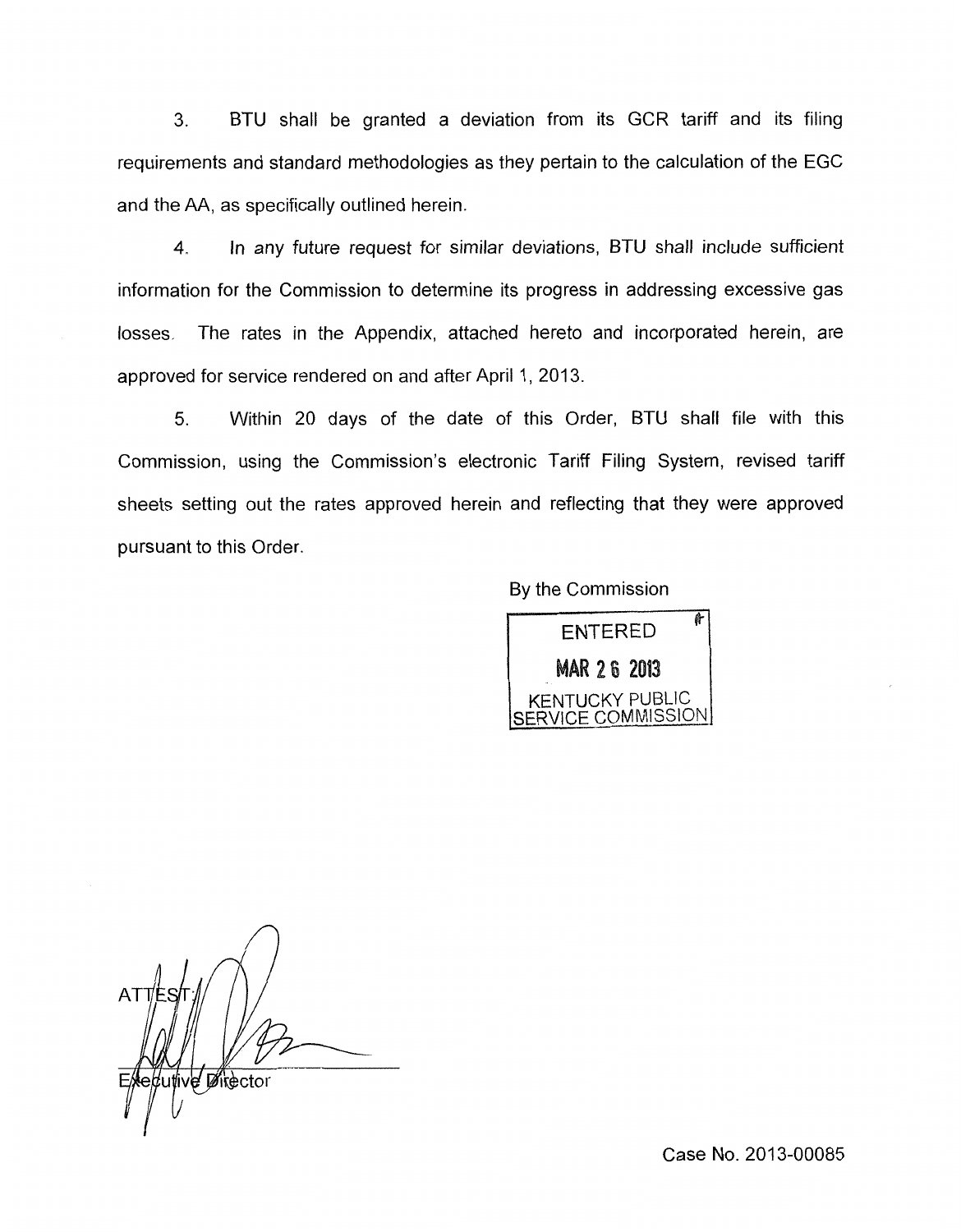3. BTU shall be granted a deviation from its GCR tariff and its filing requirements and standard methodologies as they pertain to the calculation of the EGC and the AA, as specifically outlined herein.

**4.** In any future request for similar deviations, BTU shall include sufficient information for the Commission to determine its progress in addressing excessive gas losses. The rates in the Appendix, attached hereto and incorporated herein, are approved for service rendered on and after April 1, 2013.

5. Within 20 days of the date of this Order, BTU shall file with this Commission, using the Commission's electronic Tariff Filing System, revised tariff sheets setting out the rates approved herein and reflecting that they were approved pursuant to this Order.

By the Commission



utive Director

Case No. 2013-00085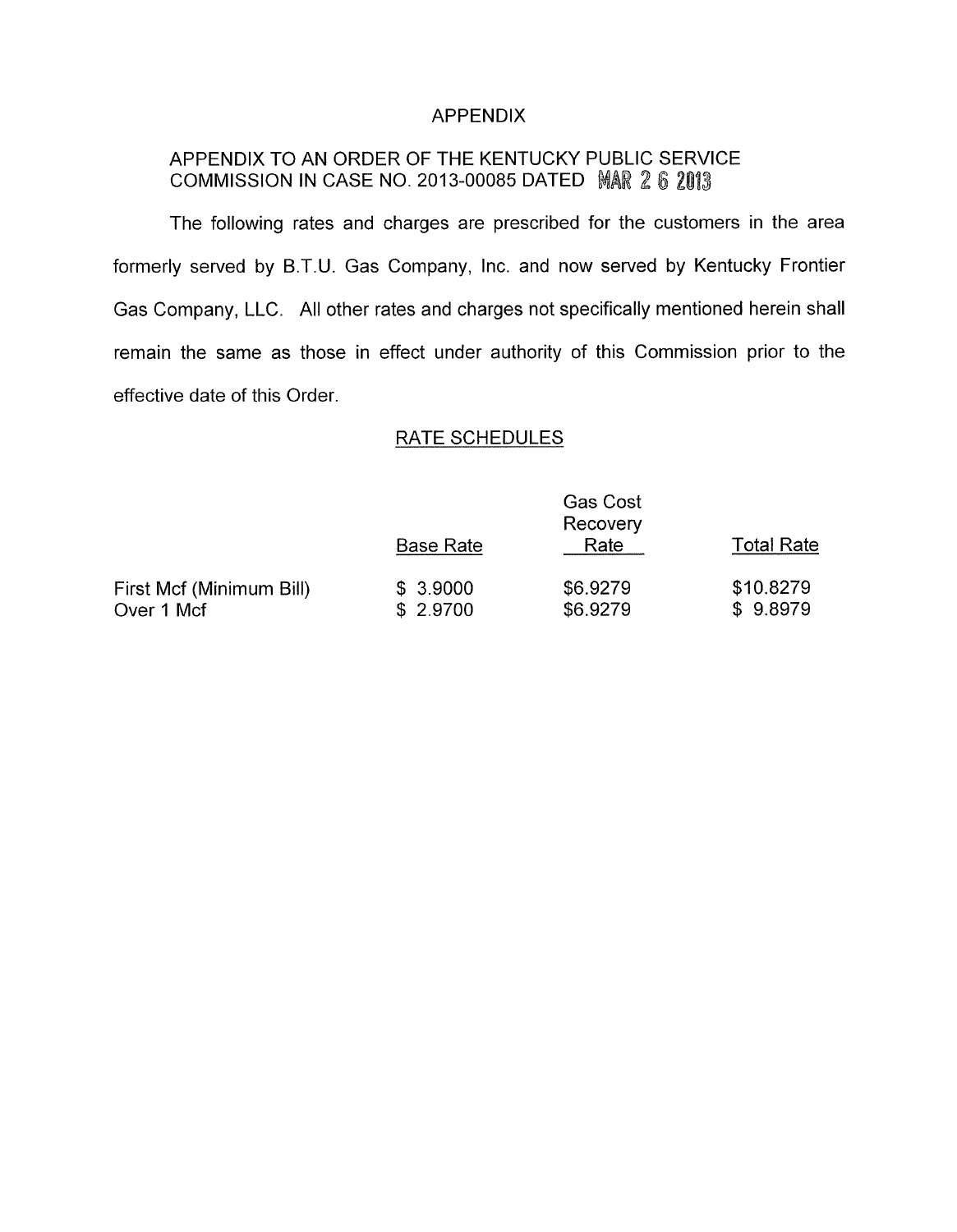## APPENDIX

# APPENDIX TO AN ORDER OF THE KENTUCKY PUBLIC SERVICE **COMMISSION IN CASE NO. 2013-00085 DATED MAR 2 6 2013**

The following rates and charges are prescribed for the customers in the area formerly served by B.T.U. Gas Company, Inc. and now served by Kentucky Frontier Gas Company, LLC. All other rates and charges not specifically mentioned herein shall remain the same as those in effect under authority of this Commission prior to the effective date of this Order.

## RATE SCHEDULES

|                                        | <b>Gas Cost</b><br>Recovery |                      |                       |
|----------------------------------------|-----------------------------|----------------------|-----------------------|
|                                        | <b>Base Rate</b>            | Rate                 | <b>Total Rate</b>     |
| First Mcf (Minimum Bill)<br>Over 1 Mcf | \$3.9000<br>\$2.9700        | \$6.9279<br>\$6.9279 | \$10.8279<br>\$9.8979 |